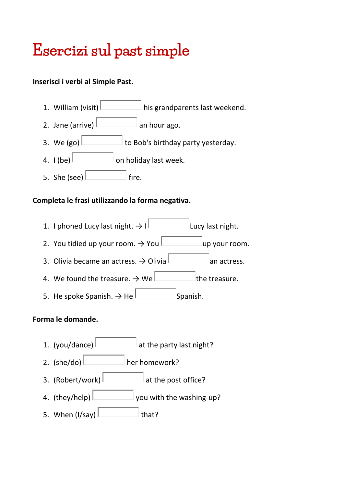# Esercizi sul past simple

## **Inserisci i verbi al Simple Past.**

- 1. William (visit) his grandparents last weekend.
- 2. Jane (arrive)  $\Box$  an hour ago.
- 3. We (go)  $\Box$  to Bob's birthday party yesterday.
- 4.  $I (be)$  on holiday last week.
- 5. She (see)  $\vert$  fire.

### **Completa le frasi utilizzando la forma negativa.**

- 1. I phoned Lucy last night.  $\rightarrow$  I Lucy last night.
- 2. You tidied up your room.  $\rightarrow$  You use the up your room.
- 3. Olivia became an actress.  $\rightarrow$  Olivia  $\Box$  an actress.
- 4. We found the treasure.  $\rightarrow$  We the treasure.
- 5. He spoke Spanish.  $\rightarrow$  He  $\Box$  Spanish.

### **Forma le domande.**

- 1. (you/dance)  $\Box$  at the party last night?
- 2.  $(she/do)$  her homework?
- 3. (Robert/work)  $\vert$  at the post office?
- 4. (they/help) you with the washing-up?
- 5. When  $(I/say)$  that?